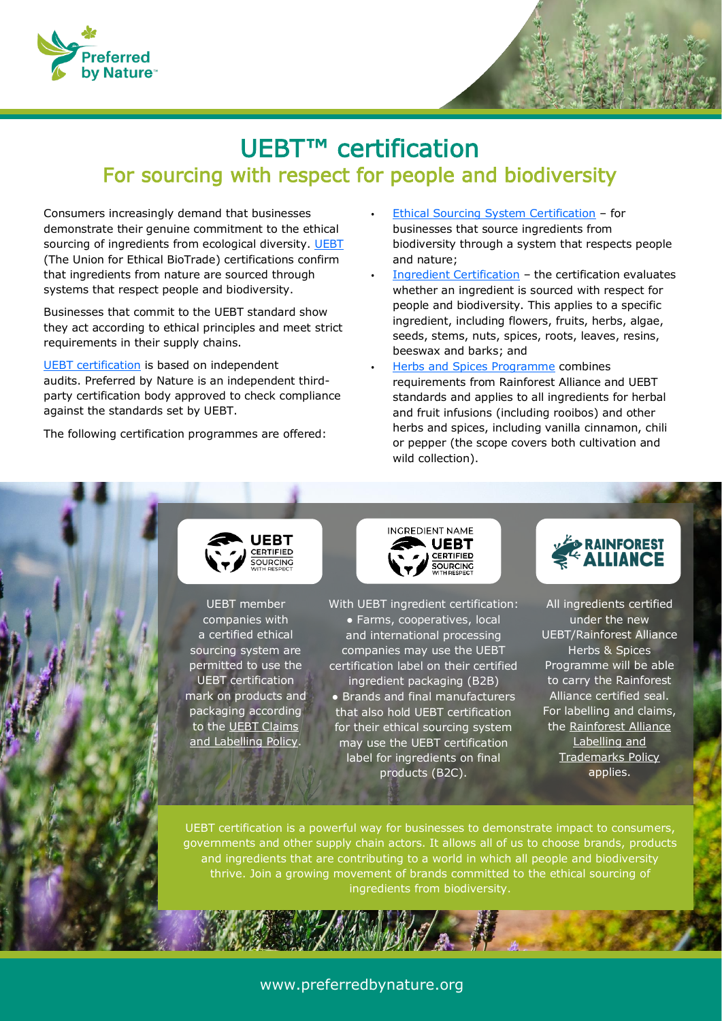

# UEBT™ certification For sourcing with respect for people and biodiversity

Consumers increasingly demand that businesses demonstrate their genuine commitment to the ethical sourcing of ingredients from ecological diversity. [UEBT](https://www.ethicalbiotrade.org/) (The Union for Ethical BioTrade) certifications confirm that ingredients from nature are sourced through systems that respect people and biodiversity.

Businesses that commit to the UEBT standard show they act according to ethical principles and meet strict requirements in their supply chains.

[UEBT certification](https://www.ethicalbiotrade.org/certification-1) is based on independent audits. Preferred by Nature is an independent thirdparty certification body approved to check compliance against the standards set by UEBT.

The following certification programmes are offered:

- [Ethical Sourcing System Certification](https://uebt.org/ess-certification) for businesses that source ingredients from biodiversity through a system that respects people and nature;
- [Ingredient Certification](https://uebt.org/natural-ingredient-certification) the certification evaluates whether an ingredient is sourced with respect for people and biodiversity. This applies to a specific ingredient, including flowers, fruits, herbs, algae, seeds, stems, nuts, spices, roots, leaves, resins, beeswax and barks; and
- [Herbs and Spices Programme](https://uebt.org/herbs-and-spices-program) combines requirements from Rainforest Alliance and UEBT standards and applies to all ingredients for herbal and fruit infusions (including rooibos) and other herbs and spices, including vanilla cinnamon, chili or pepper (the scope covers both cultivation and wild collection).



UEBT member companies with a certified ethical sourcing system are permitted to use the UEBT certification mark on products and packaging according to the [UEBT Claims](https://www.ethicalbiotrade.org/resource-pages/claims-labelling-policy-membership-certification)  [and Labelling Policy.](https://www.ethicalbiotrade.org/resource-pages/claims-labelling-policy-membership-certification)

**INGREDIENT NAME UEBT** SOURCING

With UEBT ingredient certification: ● Farms, cooperatives, local and international processing companies may use the UEBT certification label on their certified ingredient packaging (B2B) ● Brands and final manufacturers that also hold UEBT certification for their ethical sourcing system may use the UEBT certification label for ingredients on final products (B2C).



All ingredients certified under the new UEBT/Rainforest Alliance Herbs & Spices Programme will be able to carry the Rainforest Alliance certified seal. For labelling and claims, the [Rainforest Alliance](https://www.rainforest-alliance.org/business/resource-item/rainforest-alliance-2020-labeling-and-trademarks-policy/)  [Labelling and](https://www.rainforest-alliance.org/business/resource-item/rainforest-alliance-2020-labeling-and-trademarks-policy/)  [Trademarks Policy](https://www.rainforest-alliance.org/business/resource-item/rainforest-alliance-2020-labeling-and-trademarks-policy/) applies.

 ingredients from biodiversity. UEBT certification is a powerful way for businesses to demonstrate impact to consumers, governments and other supply chain actors. It allows all of us to choose brands, products and ingredients that are contributing to a world in which all people and biodiversity thrive. Join a growing movement of brands committed to the ethical sourcing of

## www.preferredbynature.org

i.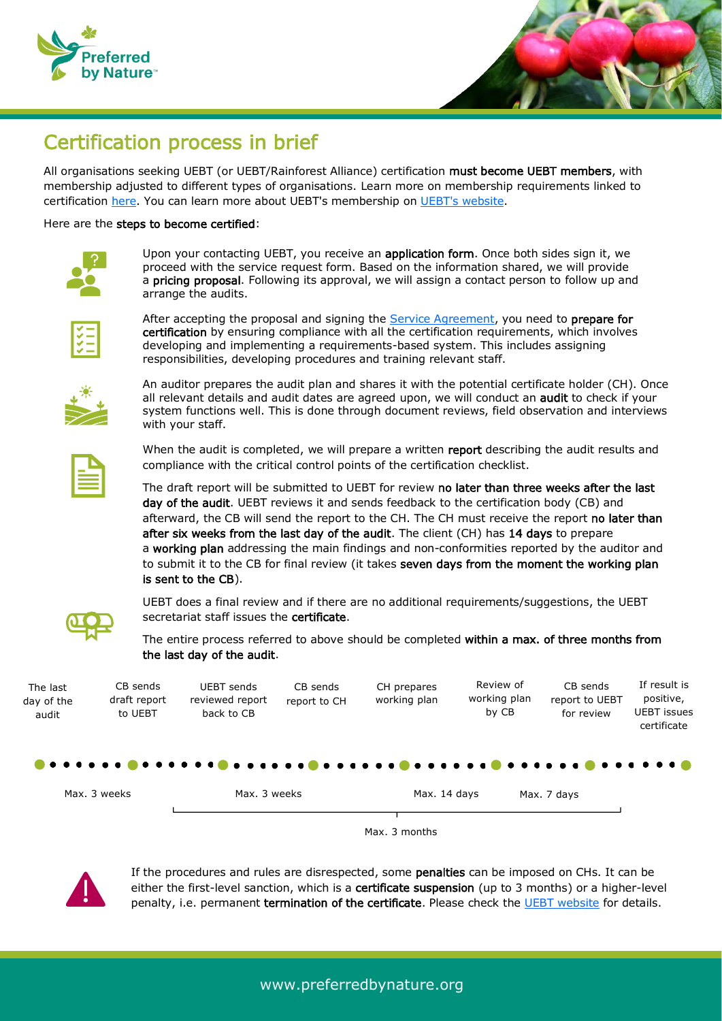



## Certification process in brief

All organisations seeking UEBT (or UEBT/Rainforest Alliance) certification must become UEBT members, with membership adjusted to different types of organisations. Learn more on membership requirements linked to certification [here.](https://uebt.org/natural-ingredient-certification) You can learn more about UEBT's membership on [UEBT's website.](https://uebt.org/membership)

#### Here are the steps to become certified:

Upon your contacting UEBT, you receive an application form. Once both sides sign it, we proceed with the service request form. Based on the information shared, we will provide a pricing proposal. Following its approval, we will assign a contact person to follow up and arrange the audits.



After accepting the proposal and signing the [Service Agreement,](https://preferredbynature.org/library/template/preferred-nature-service-agreement-template) you need to prepare for certification by ensuring compliance with all the certification requirements, which involves developing and implementing a requirements-based system. This includes assigning responsibilities, developing procedures and training relevant staff.



An auditor prepares the audit plan and shares it with the potential certificate holder (CH). Once all relevant details and audit dates are agreed upon, we will conduct an **audit** to check if your system functions well. This is done through document reviews, field observation and interviews with your staff.



When the audit is completed, we will prepare a written report describing the audit results and compliance with the critical control points of the certification checklist.

The draft report will be submitted to UEBT for review no later than three weeks after the last day of the audit. UEBT reviews it and sends feedback to the certification body (CB) and afterward, the CB will send the report to the CH. The CH must receive the report no later than after six weeks from the last day of the audit. The client (CH) has 14 days to prepare a working plan addressing the main findings and non-conformities reported by the auditor and to submit it to the CB for final review (it takes seven days from the moment the working plan is sent to the CB).



UEBT does a final review and if there are no additional requirements/suggestions, the UEBT secretariat staff issues the certificate.

The entire process referred to above should be completed within a max. of three months from the last day of the audit.



Max. 3 months



If the procedures and rules are disrespected, some penalties can be imposed on CHs. It can be either the first-level sanction, which is a **certificate suspension** (up to 3 months) or a higher-level penalty, i.e. permanent termination of the certificate. Please check the [UEBT website](https://uebt.org/certification-1) for details.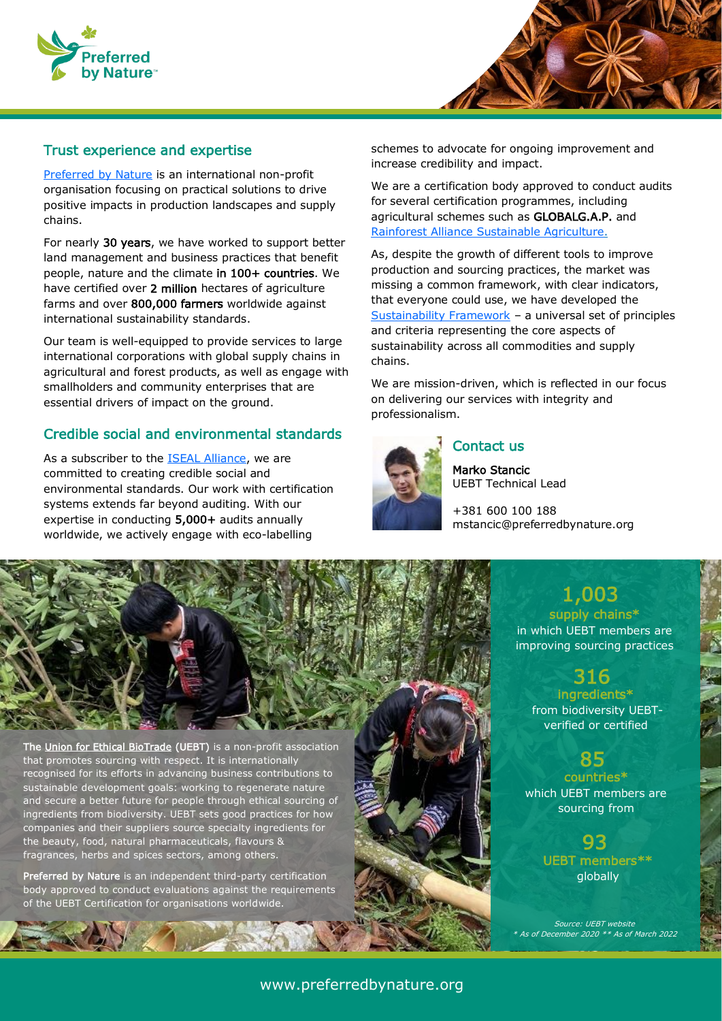



#### Trust experience and expertise

[Preferred by Nature](https://preferredbynature.org/) is an international non-profit organisation focusing on practical solutions to drive positive impacts in production landscapes and supply chains.

For nearly 30 years, we have worked to support better land management and business practices that benefit people, nature and the climate in 100+ countries. We have certified over 2 million hectares of agriculture farms and over 800,000 farmers worldwide against international sustainability standards.

Our team is well-equipped to provide services to large international corporations with global supply chains in agricultural and forest products, as well as engage with smallholders and community enterprises that are essential drivers of impact on the ground.

#### Credible social and environmental standards

As a subscriber to the [ISEAL Alliance,](https://www.isealalliance.org/) we are committed to creating credible social and environmental standards. Our work with certification systems extends far beyond auditing. With our expertise in conducting 5,000+ audits annually worldwide, we actively engage with eco-labelling

schemes to advocate for ongoing improvement and increase credibility and impact.

We are a certification body approved to conduct audits for several certification programmes, including agricultural schemes such as GLOBALG.A.P. and [Rainforest Alliance Sustainable Agriculture.](https://preferredbynature.org/certification/rasa)

As, despite the growth of different tools to improve production and sourcing practices, the market was missing a common framework, with clear indicators, that everyone could use, we have developed the [Sustainability Framework](https://preferredbynature.org/services/sustainability-framework) – a universal set of principles and criteria representing the core aspects of sustainability across all commodities and supply chains.

We are mission-driven, which is reflected in our focus on delivering our services with integrity and professionalism.



### Contact us

Marko Stancic UEBT Technical Lead

+381 600 100 188 mstancic@preferredbynature.org



The [Union for Ethical BioTrade](https://www.ethicalbiotrade.org/) (UEBT) is a non-profit association that promotes sourcing with respect. It is internationally recognised for its efforts in advancing business contributions to sustainable development goals: working to regenerate nature and secure a better future for people through ethical sourcing of ingredients from biodiversity. UEBT sets good practices for how companies and their suppliers source specialty ingredients for the beauty, food, natural pharmaceuticals, flavours & fragrances, herbs and spices sectors, among others.

Preferred by Nature is an independent third-party certification body approved to conduct evaluations against the requirements of the UEBT Certification for organisations worldwide.

## 1,003 supply chains\*

 in which UEBT members are improving sourcing practices

## 316

 from biodiversity UEBTingredients\* verified or certified

## 85

countries\* which UEBT members are sourcing from

## UEBT members\*\* 93

globally

Source: UEBT website As of December 2020 \*\* As of March 2022

#### www.preferredbynature.org